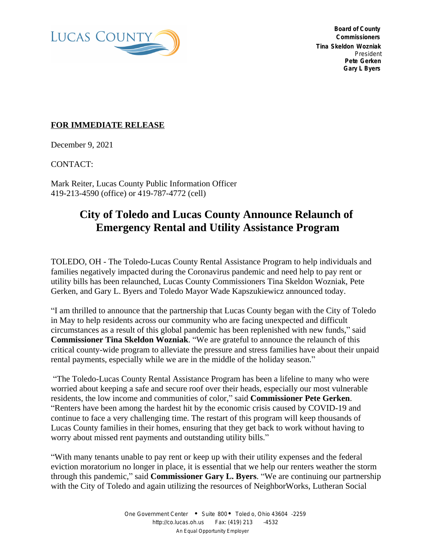

 **Board of County Commissioners Tina Skeldon Wozniak** *President* **Pete Gerken Gary L Byers**

## **FOR IMMEDIATE RELEASE**

December 9, 2021

CONTACT:

Mark Reiter, Lucas County Public Information Officer 419-213-4590 (office) or 419-787-4772 (cell)

## **City of Toledo and Lucas County Announce Relaunch of Emergency Rental and Utility Assistance Program**

TOLEDO, OH - The Toledo-Lucas County Rental Assistance Program to help individuals and families negatively impacted during the Coronavirus pandemic and need help to pay rent or utility bills has been relaunched, Lucas County Commissioners Tina Skeldon Wozniak, Pete Gerken, and Gary L. Byers and Toledo Mayor Wade Kapszukiewicz announced today.

"I am thrilled to announce that the partnership that Lucas County began with the City of Toledo in May to help residents across our community who are facing unexpected and difficult circumstances as a result of this global pandemic has been replenished with new funds," said **Commissioner Tina Skeldon Wozniak**. "We are grateful to announce the relaunch of this critical county-wide program to alleviate the pressure and stress families have about their unpaid rental payments, especially while we are in the middle of the holiday season."

"The Toledo-Lucas County Rental Assistance Program has been a lifeline to many who were worried about keeping a safe and secure roof over their heads, especially our most vulnerable residents, the low income and communities of color," said **Commissioner Pete Gerken**. "Renters have been among the hardest hit by the economic crisis caused by COVID-19 and continue to face a very challenging time. The restart of this program will keep thousands of Lucas County families in their homes, ensuring that they get back to work without having to worry about missed rent payments and outstanding utility bills."

"With many tenants unable to pay rent or keep up with their utility expenses and the federal eviction moratorium no longer in place, it is essential that we help our renters weather the storm through this pandemic," said **Commissioner Gary L. Byers**. "We are continuing our partnership with the City of Toledo and again utilizing the resources of NeighborWorks, Lutheran Social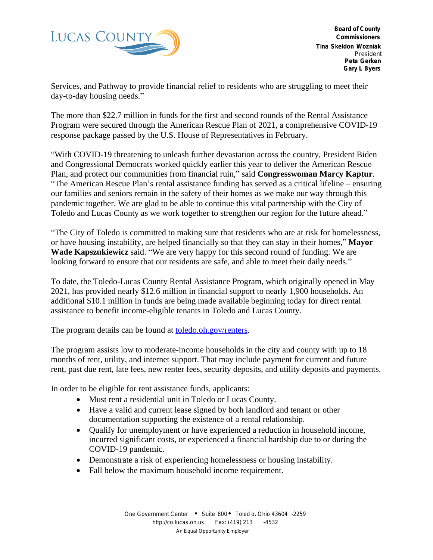

 **Board of County Commissioners Tina Skeldon Wozniak** *President* **Pete Gerken Gary L Byers**

Services, and Pathway to provide financial relief to residents who are struggling to meet their day-to-day housing needs."

The more than \$22.7 million in funds for the first and second rounds of the Rental Assistance Program were secured through the American Rescue Plan of 2021, a comprehensive COVID-19 response package passed by the U.S. House of Representatives in February.

"With COVID-19 threatening to unleash further devastation across the country, President Biden and Congressional Democrats worked quickly earlier this year to deliver the American Rescue Plan, and protect our communities from financial ruin," said **Congresswoman Marcy Kaptur**. "The American Rescue Plan's rental assistance funding has served as a critical lifeline – ensuring our families and seniors remain in the safety of their homes as we make our way through this pandemic together. We are glad to be able to continue this vital partnership with the City of Toledo and Lucas County as we work together to strengthen our region for the future ahead."

"The City of Toledo is committed to making sure that residents who are at risk for homelessness, or have housing instability, are helped financially so that they can stay in their homes," **Mayor Wade Kapszukiewicz** said. "We are very happy for this second round of funding. We are looking forward to ensure that our residents are safe, and able to meet their daily needs."

To date, the Toledo-Lucas County Rental Assistance Program, which originally opened in May 2021, has provided nearly \$12.6 million in financial support to nearly 1,900 households. An additional \$10.1 million in funds are being made available beginning today for direct rental assistance to benefit income-eligible tenants in Toledo and Lucas County.

The program details can be found at <u>toledo.oh.gov/renters</u>.

The program assists low to moderate-income households in the city and county with up to 18 months of rent, utility, and internet support. That may include payment for current and future rent, past due rent, late fees, new renter fees, security deposits, and utility deposits and payments.

In order to be eligible for rent assistance funds, applicants:

- Must rent a residential unit in Toledo or Lucas County.
- Have a valid and current lease signed by both landlord and tenant or other documentation supporting the existence of a rental relationship.
- Qualify for unemployment or have experienced a reduction in household income, incurred significant costs, or experienced a financial hardship due to or during the COVID-19 pandemic.
- Demonstrate a risk of experiencing homelessness or housing instability.
- Fall below the maximum household income requirement.